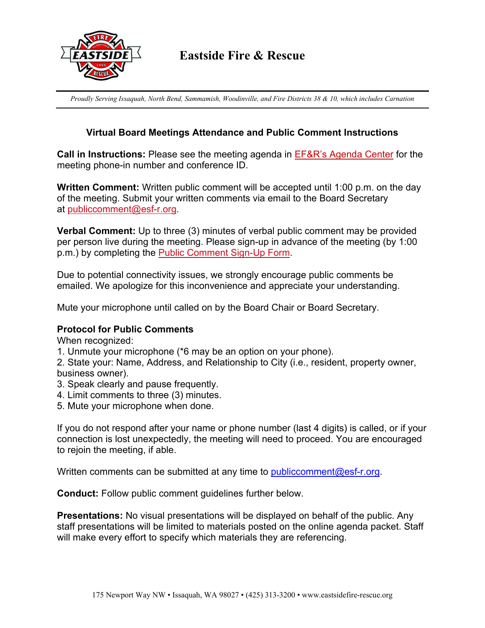

*Proudly Serving Issaquah, North Bend, Sammamish, Woodinville, and Fire Districts 38 & 10, which includes Carnation*

# **Virtual Board Meetings Attendance and Public Comment Instructions**

**Call in Instructions:** Please see the meeting agenda in EF&R's Agenda Center for the meeting phone-in number and conference ID.

**Written Comment:** Written public comment will be accepted until 1:00 p.m. on the day of the meeting. Submit your written comments via email to the Board Secretary at publiccomment@esf-r.org.

**Verbal Comment:** Up to three (3) minutes of verbal public comment may be provided per person live during the meeting. Please sign-up in advance of the meeting (by 1:00 p.m.) by completing the Public Comment Sign-Up Form.

Due to potential connectivity issues, we strongly encourage public comments be emailed. We apologize for this inconvenience and appreciate your understanding.

Mute your microphone until called on by the Board Chair or Board Secretary.

## **Protocol for Public Comments**

When recognized:

1. Unmute your microphone (\*6 may be an option on your phone).

2. State your: Name, Address, and Relationship to City (i.e., resident, property owner, business owner).

- 3. Speak clearly and pause frequently.
- 4. Limit comments to three (3) minutes.
- 5. Mute your microphone when done.

If you do not respond after your name or phone number (last 4 digits) is called, or if your connection is lost unexpectedly, the meeting will need to proceed. You are encouraged to rejoin the meeting, if able.

Written comments can be submitted at any time to publiccomment@esf-r.org.

**Conduct:** Follow public comment guidelines further below.

**Presentations:** No visual presentations will be displayed on behalf of the public. Any staff presentations will be limited to materials posted on the online agenda packet. Staff will make every effort to specify which materials they are referencing.